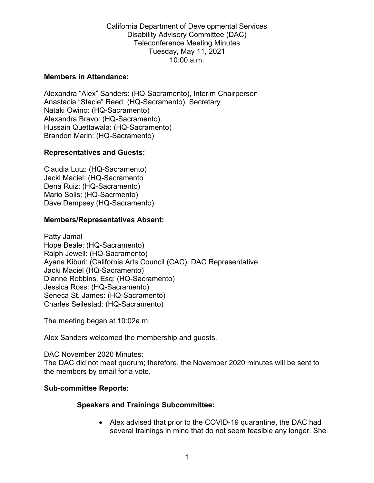#### **Members in Attendance:**

Alexandra "Alex" Sanders: (HQ-Sacramento), Interim Chairperson Anastacia "Stacie" Reed: (HQ-Sacramento), Secretary Nataki Owino: (HQ-Sacramento) Alexandra Bravo: (HQ-Sacramento) Hussain Quettawala: (HQ-Sacramento) Brandon Marin: (HQ-Sacramento)

### **Representatives and Guests:**

Claudia Lutz: (HQ-Sacramento) Jacki Maciel: (HQ-Sacramento Dena Ruiz: (HQ-Sacramento) Mario Solis: (HQ-Sacrmento) Dave Dempsey (HQ-Sacramento)

### **Members/Representatives Absent:**

Patty Jamal Hope Beale: (HQ-Sacramento) Ralph Jewell: (HQ-Sacramento) Ayana Kiburi: (California Arts Council (CAC), DAC Representative Jacki Maciel (HQ-Sacramento) Dianne Robbins, Esq: (HQ-Sacramento) Jessica Ross: (HQ-Sacramento) Seneca St. James: (HQ-Sacramento) Charles Seilestad: (HQ-Sacramento)

The meeting began at 10:02a.m.

Alex Sanders welcomed the membership and guests.

DAC November 2020 Minutes: The DAC did not meet quorum; therefore, the November 2020 minutes will be sent to the members by email for a vote.

### **Sub-committee Reports:**

### **Speakers and Trainings Subcommittee:**

• Alex advised that prior to the COVID-19 quarantine, the DAC had several trainings in mind that do not seem feasible any longer. She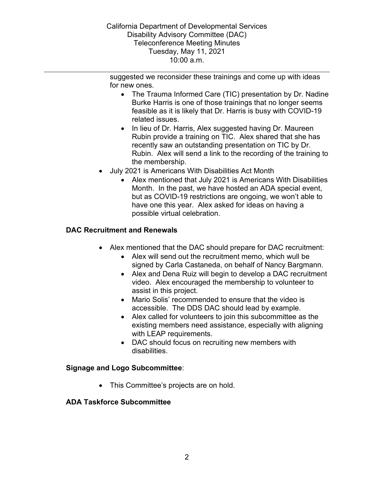California Department of Developmental Services Disability Advisory Committee (DAC) Teleconference Meeting Minutes Tuesday, May 11, 2021 10:00 a.m.

suggested we reconsider these trainings and come up with ideas for new ones.

- The Trauma Informed Care (TIC) presentation by Dr. Nadine Burke Harris is one of those trainings that no longer seems feasible as it is likely that Dr. Harris is busy with COVID-19 related issues.
- In lieu of Dr. Harris, Alex suggested having Dr. Maureen Rubin provide a training on TIC. Alex shared that she has recently saw an outstanding presentation on TIC by Dr. Rubin. Alex will send a link to the recording of the training to the membership.
- July 2021 is Americans With Disabilities Act Month
	- Alex mentioned that July 2021 is Americans With Disabilities Month. In the past, we have hosted an ADA special event, but as COVID-19 restrictions are ongoing, we won't able to have one this year. Alex asked for ideas on having a possible virtual celebration.

# **DAC Recruitment and Renewals**

- Alex mentioned that the DAC should prepare for DAC recruitment:
	- Alex will send out the recruitment memo, which wull be signed by Carla Castaneda, on behalf of Nancy Bargmann.
	- Alex and Dena Ruiz will begin to develop a DAC recruitment video. Alex encouraged the membership to volunteer to assist in this project.
	- Mario Solis' recommended to ensure that the video is accessible. The DDS DAC should lead by example.
	- Alex called for volunteers to join this subcommittee as the existing members need assistance, especially with aligning with LEAP requirements.
	- DAC should focus on recruiting new members with disabilities.

## **Signage and Logo Subcommittee**:

• This Committee's projects are on hold.

## **ADA Taskforce Subcommittee**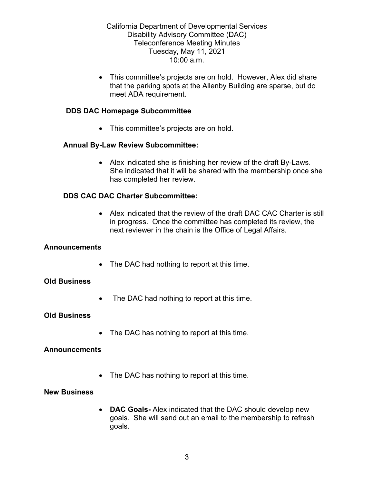• This committee's projects are on hold. However, Alex did share that the parking spots at the Allenby Building are sparse, but do meet ADA requirement.

### **DDS DAC Homepage Subcommittee**

• This committee's projects are on hold.

## **Annual By-Law Review Subcommittee:**

• Alex indicated she is finishing her review of the draft By-Laws. She indicated that it will be shared with the membership once she has completed her review.

## **DDS CAC DAC Charter Subcommittee:**

• Alex indicated that the review of the draft DAC CAC Charter is still in progress. Once the committee has completed its review, the next reviewer in the chain is the Office of Legal Affairs.

### **Announcements**

• The DAC had nothing to report at this time.

## **Old Business**

• The DAC had nothing to report at this time.

### **Old Business**

• The DAC has nothing to report at this time.

### **Announcements**

• The DAC has nothing to report at this time.

### **New Business**

• **DAC Goals-** Alex indicated that the DAC should develop new goals. She will send out an email to the membership to refresh goals.